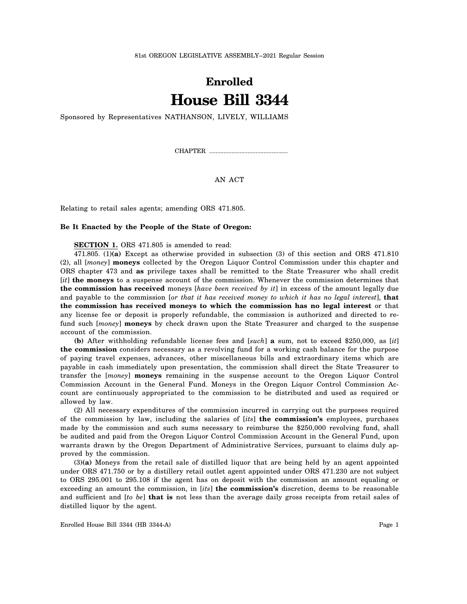## **Enrolled House Bill 3344**

Sponsored by Representatives NATHANSON, LIVELY, WILLIAMS

CHAPTER .................................................

AN ACT

Relating to retail sales agents; amending ORS 471.805.

## **Be It Enacted by the People of the State of Oregon:**

**SECTION 1.** ORS 471.805 is amended to read:

471.805. (1)**(a)** Except as otherwise provided in subsection (3) of this section and ORS 471.810 (2), all [*money*] **moneys** collected by the Oregon Liquor Control Commission under this chapter and ORS chapter 473 and **as** privilege taxes shall be remitted to the State Treasurer who shall credit [*it*] **the moneys** to a suspense account of the commission. Whenever the commission determines that **the commission has received** moneys [*have been received by it*] in excess of the amount legally due and payable to the commission [*or that it has received money to which it has no legal interest*], **that the commission has received moneys to which the commission has no legal interest** or that any license fee or deposit is properly refundable, the commission is authorized and directed to refund such [*money*] **moneys** by check drawn upon the State Treasurer and charged to the suspense account of the commission.

**(b)** After withholding refundable license fees and [*such*] **a** sum, not to exceed \$250,000, as [*it*] **the commission** considers necessary as a revolving fund for a working cash balance for the purpose of paying travel expenses, advances, other miscellaneous bills and extraordinary items which are payable in cash immediately upon presentation, the commission shall direct the State Treasurer to transfer the [*money*] **moneys** remaining in the suspense account to the Oregon Liquor Control Commission Account in the General Fund. Moneys in the Oregon Liquor Control Commission Account are continuously appropriated to the commission to be distributed and used as required or allowed by law.

(2) All necessary expenditures of the commission incurred in carrying out the purposes required of the commission by law, including the salaries of [*its*] **the commission's** employees, purchases made by the commission and such sums necessary to reimburse the \$250,000 revolving fund, shall be audited and paid from the Oregon Liquor Control Commission Account in the General Fund, upon warrants drawn by the Oregon Department of Administrative Services, pursuant to claims duly approved by the commission.

(3)**(a)** Moneys from the retail sale of distilled liquor that are being held by an agent appointed under ORS 471.750 or by a distillery retail outlet agent appointed under ORS 471.230 are not subject to ORS 295.001 to 295.108 if the agent has on deposit with the commission an amount equaling or exceeding an amount the commission, in [*its*] **the commission's** discretion, deems to be reasonable and sufficient and [*to be*] **that is** not less than the average daily gross receipts from retail sales of distilled liquor by the agent.